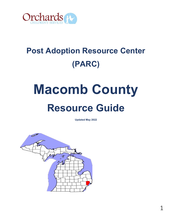

## Post Adoption Resource Center (PARC)

# Macomb County Resource Guide

Updated May 2022

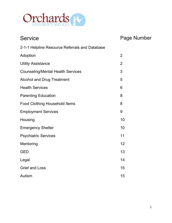

| <b>Service</b>                                 | Page Number    |
|------------------------------------------------|----------------|
| 2-1-1 Helpline Resource Referrals and Database |                |
| Adoption                                       | $\overline{2}$ |
| <b>Utility Assistance</b>                      | $\overline{2}$ |
| <b>Counseling/Mental Health Services</b>       | 3              |
| <b>Alcohol and Drug Treatment</b>              | 5              |
| <b>Health Services</b>                         | 6              |
| <b>Parenting Education</b>                     | 8              |
| <b>Food Clothing Household Items</b>           | 8              |
| <b>Employment Services</b>                     | 9              |
| Housing                                        | 10             |
| <b>Emergency Shelter</b>                       | 10             |
| <b>Psychiatric Services</b>                    | 11             |
| Mentoring                                      | 12             |
| <b>GED</b>                                     | 13             |
| Legal                                          | 14             |
| <b>Grief and Loss</b>                          | 15             |
| Autism                                         | 15             |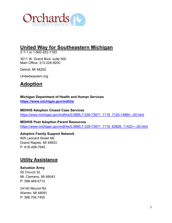

## United Way for Southeastern Michigan

2-1-1 or 1-800-552-1183

3011 W. Grand Blvd. suite 500 Main Office- 313-226-9200

Detroit, MI 48202

Unitedwaysem.org

## **Adoption**

Michigan Department of Health and Human Services https://www.michigan.gov/mdhhs

## MDHHS Adoption Closed Case Services

https://www.michigan.gov/mdhhs/0,5885,7-339-73971\_7116\_7125-14884--,00.html

## MDHHS Post Adoption Parent Resources

https://www.michigan.gov/mdhhs/0,5885,7-339-73971\_7116\_63826\_11423---,00.html

Adoptive Family Support Network 805 Leonard Street NE Grand Rapids, MI 49503 P. 616-458-7945

## Utility Assistance

## Salvation Army

55 Church St. Mt. Clemens, MI 48043 P: 586.469.6712

24140 Mound Rd Warren, MI 48091 P: 586.754.7400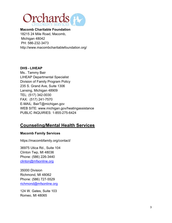

Macomb Charitable Foundation 18215 24 Mile Road, Macomb, Michigan 48042 PH: 586-232-3473 http://www.macombcharitablefoundation.org/

## DHS - LIHEAP

Ms.. Tammy Bair LIHEAP Departmental Specialist Division of Family Program Policy 235 S. Grand Ave, Suite 1306 Lansing, Michigan 48909 TEL: (517) 342-0030 FAX: (517) 241-7570 E-MAIL: BairT@michigan.gov WEB SITE: www.michigan.gov/heatingassistance PUBLIC INQUIRIES: 1-855-275-6424

## Counseling/Mental Health Services

## Macomb Family Services

https://macombfamily.org/contact/

36975 Utica Rd., Suite 104 Clinton Twp, MI 48036 Phone: (586) 226-3440 clinton@mfsonline.org

35000 Division Richmond, MI 48062 Phone: (586) 727-5529 richmond@mfsonline.org

124 W. Gates, Suite 103 Romeo, MI 48065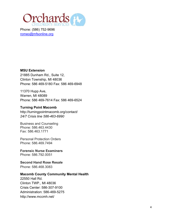

Phone: (586) 752-9696 romeo@mfsonline.org

#### MSU Extension

21885 Dunham Rd., Suite 12, Clinton Township, MI 48036 Phone: 586 469-5180 Fax: 586 469-6948

11370 Hupp Ave, Warren, MI 48089 Phone: 586 469-7614 Fax: 586 469-6524

## Turning Point Macomb

http://turningpointmacomb.org/contact/ 24/7 Crisis line 586-463-6990

Business and Counseling Phone: 586.463.4430 Fax: 586.463.1771

Personal Protection Orders Phone: 586.469.7494

Forensic Nurse Examiners Phone: 586.792.0051

Second Hand Rose Resale Phone: 586.468.3083

#### Macomb County Community Mental Health

22550 Hall Rd. Clinton TWP., MI 48036 Crisis Center: 586-307-9100 Administration: 586-469-5275 http://www.mccmh.net/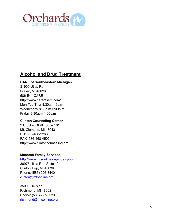

## Alcohol and Drug Treatment

## CARE of Southeastern Michigan

31900 Utica Rd. Fraser, MI 48026 586-541-CARE http://www.careofsem.com/ Mon,Tue,Thur 8:30a.m-9p.m Wednesday 8:30a.m-5:00p.m Friday 8:30a.m-1:00p.m

## Clinton Counseling Center

2 Crocker BLVD Suite 101 Mt. Clemens, MI 48043 PH: 586-468-2266 FAX: 586-468-4505 http://www.clintoncounseling.org/

## Macomb Family Services

http://www.mfsonline.org/index.php 36975 Utica Rd., Suite 104 Clinton Twp, MI 48036 Phone: (586) 226-3440 clinton@mfsonline.org

35000 Division Richmond, MI 48062 Phone: (586) 727-5529 richmond@mfsonline.org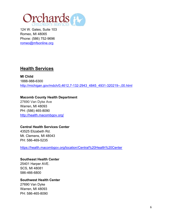

124 W. Gates, Suite 103 Romeo, MI 48065 Phone: (586) 752-9696 romeo@mfsonline.org

## Health Services

MI Child 1888-988-6300 http://michigan.gov/mdch/0,4612,7-132-2943\_4845\_4931-320219--,00.html

Macomb County Health Department 27690 Van Dyke Ave Warren, MI 48093 PH: (586) 465-8090 http://health.macombgov.org/

## Central Health Services Center

43525 Elizabeth Rd. Mt. Clemens, MI 48043 PH: 586-469-5235

https://health.macombgov.org/location/Central%20Health%20Center

Southeast Health Center 25401 Harper AVE. SCS, MI 48081 586-466-6800

Southwest Health Center 27690 Van Dyke Warren, MI 48093 PH: 586-465-8090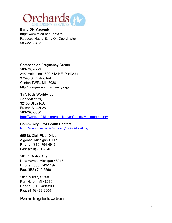

## Early ON Macomb

http://www.misd.net/EarlyOn/ Rebecca Naert, Early On Coordinator 586-228-3463

## Compassion Pregnancy Center

586-783-2229 24/7 Help Line 1800-712-HELP (4357) 37540 S. Gratiot AVE., Clinton TWP., MI 48036 http://compassionpregnancy.org/

#### Safe Kids Worldwide,

Car seat safety 32100 Utica RD, Fraser, MI 48026 586-293-5880 http://www.safekids.org/coalition/safe-kids-macomb-county

## Community First Health Centers

https://www.communityfirsthc.org/contact-locations/

555 St. Clair River Drive Algonac, Michigan 48001 Phone: (810) 794-4917 Fax: (810) 794-7645

58144 Gratiot Ave. New Haven, Michigan 48048 Phone: (586) 749-5197 Fax: (586) 749-5560

1011 Military Street Port Huron, MI 48060 Phone: (810) 488-8000 Fax: (810) 488-8005

## Parenting Education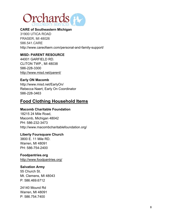

## CARE of Southeastern Michigan

31900 UTICA ROAD FRASER, MI 48026 586.541.CARE http://www.careofsem.com/personal-and-family-support/

## MISD- PARENT RESOURCE

44001 GARFIELD RD. CLITON TWP., MI 48038 586-228-3300 http://www.misd.net/parent/

#### Early ON Macomb

http://www.misd.net/EarlyOn/ Rebecca Naert, Early On Coordinator 586-228-3463

## Food Clothing Household Items

#### Macomb Charitable Foundation

18215 24 Mile Road, Macomb, Michigan 48042 PH: 586-232-3473 http://www.macombcharitablefoundation.org/

#### Liberty Foursquare Church

3800 E. 11 Mile RD. Warren, MI 48091 PH: 586-754-2400

#### Foodpantries.org

http://www.foodpantries.org/

#### Salvation Army

55 Church St. Mt. Clemens, MI 48043 P: 586.469.6712

24140 Mound Rd Warren, MI 48091 P: 586.754.7400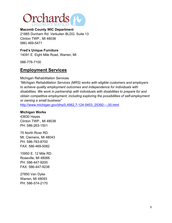

Macomb County WIC Department 21885 Dunham Rd. Verkuilen BLDG. Suite 13 Clinton TWP., MI 48036 586) 469-5471

Fred's Unique Furniture 14091 E. Eight Mile Road, Warren, MI

586-776-7100

## Employment Services

Michigan Rehabilitation Services

"Michigan Rehabilitation Services (MRS) works with eligible customers and employers to achieve quality employment outcomes and independence for individuals with disabilities. We work in partnership with individuals with disabilities to prepare for and obtain competitive employment, including exploring the possibilities of self-employment or owning a small business"

http://www.michigan.gov/dhs/0,4562,7-124-5453\_25392---,00.html

#### Michigan Works

43630 Hayes Clinton TWP., MI 48038 PH: 586-263-1501

75 North River RD. Mt. Clemens, MI 48043 PH: 586-783-8700 FAX: 586-469-5082

15950 E. 12 Mile RD. Roseville, MI 48066 PH: 586-447-9200 FAX: 586-447-9238

27850 Van Dyke Warren, MI 48093 PH: 586-574-2170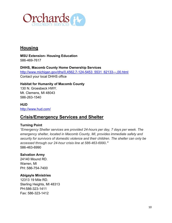

## **Housing**

MSU Extension- Housing Education 586-469-7617

DHHS, Macomb County Home Ownership Services http://www.michigan.gov/dhs/0,4562,7-124-5453\_5531\_62133---,00.html Contact your local DHHS office

Habitat for Humanity of Macomb County 130 N. Groesbeck HWY. Mt. Clemens, MI 48043 586-263-1540

HUD http://www.hud.com/

## Crisis/Emergency Services and Shelter

## Turning Point

"Emergency Shelter services are provided 24-hours per day, 7 days per week. The emergency shelter, located in Macomb County, MI, provides immediate safety and security for survivors of domestic violence and their children. The shelter can only be accessed through our 24-hour crisis line at 586-463-6990." 586-463-6990

## Salvation Army

24140 Mound RD. Warren, MI PH: 586-754-7400

## Abigayle Ministries

12313 19 Mile RD. Sterling Heights, MI 48313 PH:586-323-1411 Fax: 586-323-1412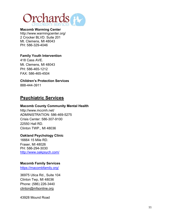

Macomb Warming Center http://www.warmingcenter.org/ 2 Crocker BLVD. Suite 201 Mt. Clemens, MI 48043 PH: 586-329-4046

## Family Youth Intervention

418 Cass AVE. Mt. Clemens, MI 48043 PH: 586-465-1212 FAX: 586-465-4504

Children's Protection Services 888-444-3911

## Psychiatric Services

#### Macomb County Community Mental Health

http://www.mccmh.net/ ADMINISTRATION: 586-469-5275 Crisis Center: 586-307-9100 22550 Hall RD. Clinton TWP., MI 48036

## Oakland Psychology Clinic

16664 15 Mile RD. Fraser, MI 48026 PH: 586-294-3030 http://www.oakpsych.com/

#### Macomb Family Services

https://macombfamily.org/

36975 Utica Rd., Suite 104 Clinton Twp, MI 48036 Phone: (586) 226-3440 clinton@mfsonline.org

43928 Mound Road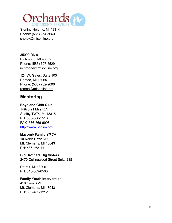

Sterling Heights, MI 48314 Phone: (586) 254-5660 shelby@mfsonline.org

35000 Division Richmond, MI 48062 Phone: (586) 727-5529 richmond@mfsonline.org

124 W. Gates, Suite 103 Romeo, MI 48065 Phone: (586) 752-9696 romeo@mfsonline.org

## **Mentoring**

#### Boys and Girls Club

14975 21 Mile RD. Shelby TWP., MI 48315 PH: 586-566-5516 FAX: 586-566-6998 http://www.bgcsm.org/

## Macomb Family YMCA

10 North River RD. Mt. Clemens, MI 48043 PH: 586-468-1411

## Big Brothers Big Sisters

2470 Collingwood Street Suite 218

Detroit, MI 48206 PH: 313-309-0500

#### Family Youth Intervention

418 Cass AVE. Mt. Clemens, MI 48043 PH: 586-465-1212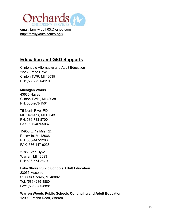

email: familyyouth03@yahoo.com http://familyyouth.com/blog2/

## Education and GED Supports

Clintondale Alternative and Adult Education 22280 Price Drive Clinton TWP, MI 48035 PH: (586) 791-4110

## Michigan Works

43630 Hayes Clinton TWP., MI 48038 PH: 586-263-1501

75 North River RD. Mt. Clemans, MI 48043 PH: 586-783-8700 FAX: 586-469-5082

15950 E. 12 Mile RD. Roseville, MI 48066 PH: 586-447-9200 FAX: 586-447-9238

27850 Van Dyke Warren, MI 48093 PH: 586-574-2170

#### Lake Shore Public Schools Adult Education

23055 Masonic St. Clair Shores, MI 48082 Tel: (586) 285-8880 Fax: (586) 285-8881

## Warren Woods Public Schools Continuing and Adult Education

12900 Frazho Road, Warren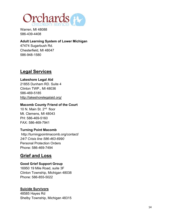

Warren, MI 48088 586-439-4408

## Adult Learning System of Lower Michigan

47474 Sugarbush Rd. Chesterfield, MI 48047 586-948-1580

## Legal Services

## Lakeshore Legal Aid

21855 Dunham RD. Suite 4 Clinton TWP., MI 48036 586-469-5185 http://lakeshorelegalaid.org/

## Macomb County Friend of the Court

10 N. Main St. 2nd floor Mt. Clemens, MI 48043 PH: 586-469-5160 FAX: 586-469-7941

## Turning Point Macomb

http://turningpointmacomb.org/contact/ 24/7 Crisis line 586-463-6990 Personal Protection Orders Phone: 586-469-7494

## Grief and Loss

## Good Grief Support Group

16950 19 Mile Road, suite 3F Clinton Township, Michigan 48038 Phone: 586-855-5022

## Suicide Survivors

48585 Hayes Rd Shelby Township, Michigan 48315